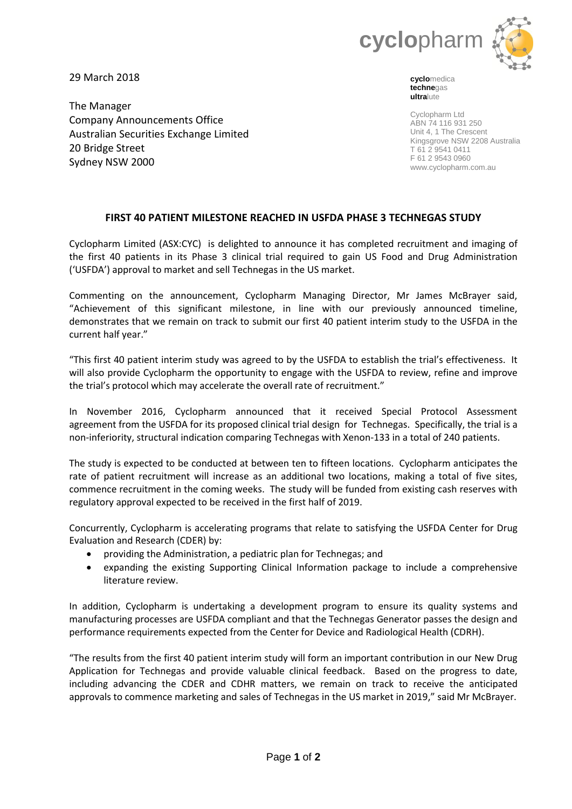

29 March 2018

The Manager Company Announcements Office Australian Securities Exchange Limited 20 Bridge Street Sydney NSW 2000

**cyclo**medica **techne**gas **ultra**lute

Cyclopharm Ltd ABN 74 116 931 250 Unit 4, 1 The Crescent Kingsgrove NSW 2208 Australia T 61 2 9541 0411 F 61 2 9543 0960 www.cyclopharm.com.au

# **FIRST 40 PATIENT MILESTONE REACHED IN USFDA PHASE 3 TECHNEGAS STUDY**

Cyclopharm Limited (ASX:CYC) is delighted to announce it has completed recruitment and imaging of the first 40 patients in its Phase 3 clinical trial required to gain US Food and Drug Administration ('USFDA') approval to market and sell Technegas in the US market.

Commenting on the announcement, Cyclopharm Managing Director, Mr James McBrayer said, "Achievement of this significant milestone, in line with our previously announced timeline, demonstrates that we remain on track to submit our first 40 patient interim study to the USFDA in the current half year."

"This first 40 patient interim study was agreed to by the USFDA to establish the trial's effectiveness. It will also provide Cyclopharm the opportunity to engage with the USFDA to review, refine and improve the trial's protocol which may accelerate the overall rate of recruitment."

In November 2016, Cyclopharm announced that it received Special Protocol Assessment agreement from the USFDA for its proposed clinical trial design for Technegas. Specifically, the trial is a non-inferiority, structural indication comparing Technegas with Xenon-133 in a total of 240 patients.

The study is expected to be conducted at between ten to fifteen locations. Cyclopharm anticipates the rate of patient recruitment will increase as an additional two locations, making a total of five sites, commence recruitment in the coming weeks. The study will be funded from existing cash reserves with regulatory approval expected to be received in the first half of 2019.

Concurrently, Cyclopharm is accelerating programs that relate to satisfying the USFDA Center for Drug Evaluation and Research (CDER) by:

- providing the Administration, a pediatric plan for Technegas; and
- expanding the existing Supporting Clinical Information package to include a comprehensive literature review.

In addition, Cyclopharm is undertaking a development program to ensure its quality systems and manufacturing processes are USFDA compliant and that the Technegas Generator passes the design and performance requirements expected from the Center for Device and Radiological Health (CDRH).

"The results from the first 40 patient interim study will form an important contribution in our New Drug Application for Technegas and provide valuable clinical feedback. Based on the progress to date, including advancing the CDER and CDHR matters, we remain on track to receive the anticipated approvals to commence marketing and sales of Technegas in the US market in 2019," said Mr McBrayer.